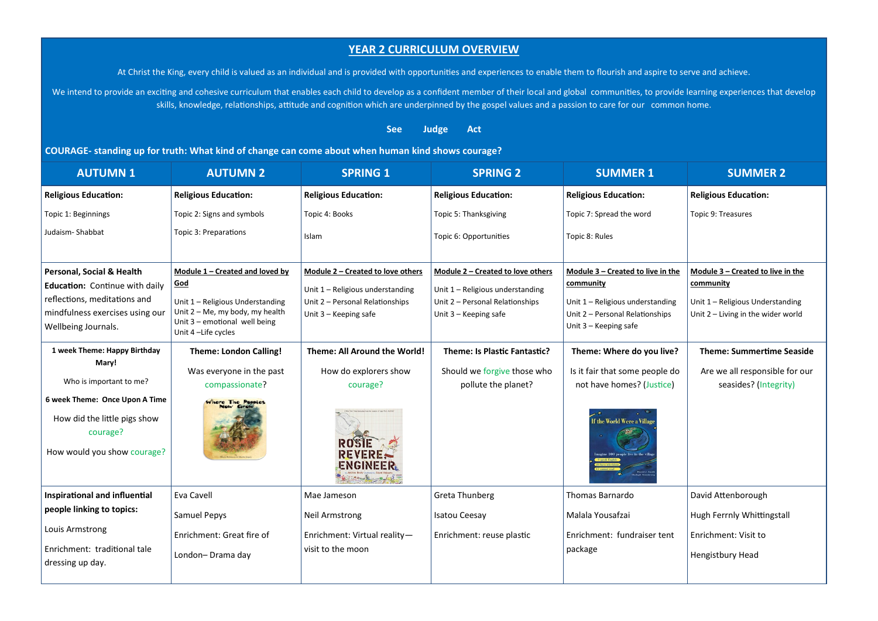## **YEAR 2 CURRICULUM OVERVIEW**

At Christ the King, every child is valued as an individual and is provided with opportunities and experiences to enable them to flourish and aspire to serve and achieve.

We intend to provide an exciting and cohesive curriculum that enables each child to develop as a confident member of their local and global communities, to provide learning experiences that develop skills, knowledge, relationships, attitude and cognition which are underpinned by the gospel values and a passion to care for our common home.

## **See Judge Act**

**COURAGE- standing up for truth: What kind of change can come about when human kind shows courage?**

| <b>AUTUMN1</b>                                                                                            | <b>AUTUMN 2</b>                                                                                                                 | <b>SPRING 1</b>                                          | <b>SPRING 2</b>                                          | <b>SUMMER 1</b>                                                                              | <b>SUMMER 2</b>                                                          |
|-----------------------------------------------------------------------------------------------------------|---------------------------------------------------------------------------------------------------------------------------------|----------------------------------------------------------|----------------------------------------------------------|----------------------------------------------------------------------------------------------|--------------------------------------------------------------------------|
| <b>Religious Education:</b>                                                                               | <b>Religious Education:</b>                                                                                                     | <b>Religious Education:</b>                              | <b>Religious Education:</b>                              | <b>Religious Education:</b>                                                                  | <b>Religious Education:</b>                                              |
| Topic 1: Beginnings                                                                                       | Topic 2: Signs and symbols                                                                                                      | Topic 4: Books                                           | Topic 5: Thanksgiving                                    | Topic 7: Spread the word                                                                     | Topic 9: Treasures                                                       |
| Judaism-Shabbat                                                                                           | Topic 3: Preparations                                                                                                           | Islam                                                    | Topic 6: Opportunities                                   | Topic 8: Rules                                                                               |                                                                          |
| Personal, Social & Health                                                                                 | Module 1 - Created and loved by                                                                                                 | Module 2 - Created to love others                        | Module 2 - Created to love others                        | Module 3 - Created to live in the                                                            | Module 3 - Created to live in the                                        |
| Education: Continue with daily<br>reflections, meditations and                                            | God                                                                                                                             | Unit 1 - Religious understanding                         | Unit 1 - Religious understanding                         | community                                                                                    | community                                                                |
| mindfulness exercises using our<br>Wellbeing Journals.                                                    | Unit 1 - Religious Understanding<br>Unit $2 - Me$ , my body, my health<br>Unit $3$ – emotional well being<br>Unit 4-Life cycles | Unit 2 - Personal Relationships<br>Unit 3 - Keeping safe | Unit 2 - Personal Relationships<br>Unit 3 - Keeping safe | Unit 1 - Religious understanding<br>Unit 2 - Personal Relationships<br>Unit 3 - Keeping safe | Unit 1 - Religious Understanding<br>Unit $2$ – Living in the wider world |
| 1 week Theme: Happy Birthday                                                                              | <b>Theme: London Calling!</b>                                                                                                   | Theme: All Around the World!                             | Theme: Is Plastic Fantastic?                             | Theme: Where do you live?                                                                    | <b>Theme: Summertime Seaside</b>                                         |
| Mary!                                                                                                     | Was everyone in the past                                                                                                        | How do explorers show                                    | Should we forgive those who                              | Is it fair that some people do                                                               | Are we all responsible for our                                           |
| Who is important to me?                                                                                   | compassionate?                                                                                                                  | courage?                                                 | pollute the planet?                                      | not have homes? (Justice)                                                                    | seasides? (Integrity)                                                    |
| 6 week Theme: Once Upon A Time<br>How did the little pigs show<br>courage?<br>How would you show courage? | Where The Poppies                                                                                                               | REVERES<br>ENGINEER                                      |                                                          | If the World Were a Village                                                                  |                                                                          |
| <b>Inspirational and influential</b>                                                                      | Eva Cavell                                                                                                                      | Mae Jameson                                              | Greta Thunberg                                           | <b>Thomas Barnardo</b>                                                                       | David Attenborough                                                       |
| people linking to topics:                                                                                 | Samuel Pepys                                                                                                                    | <b>Neil Armstrong</b>                                    | <b>Isatou Ceesay</b>                                     | Malala Yousafzai                                                                             | Hugh Ferrnly Whittingstall                                               |
| Louis Armstrong<br>Enrichment: traditional tale                                                           | Enrichment: Great fire of                                                                                                       | Enrichment: Virtual reality-<br>visit to the moon        | Enrichment: reuse plastic                                | Enrichment: fundraiser tent                                                                  | Enrichment: Visit to                                                     |
| dressing up day.                                                                                          | London-Drama day                                                                                                                |                                                          |                                                          | package                                                                                      | Hengistbury Head                                                         |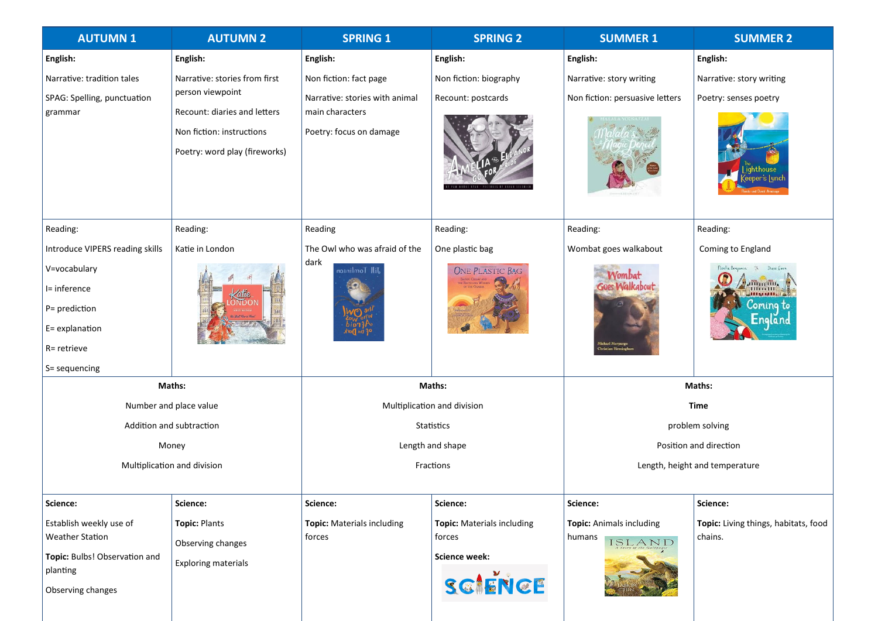| <b>AUTUMN1</b>                  | <b>AUTUMN 2</b>               | <b>SPRING 1</b>                | <b>SPRING 2</b>                   | <b>SUMMER 1</b>                 | <b>SUMMER 2</b>                        |
|---------------------------------|-------------------------------|--------------------------------|-----------------------------------|---------------------------------|----------------------------------------|
| English:                        | English:                      | English:                       | English:                          | English:                        | English:                               |
| Narrative: tradition tales      | Narrative: stories from first | Non fiction: fact page         | Non fiction: biography            | Narrative: story writing        | Narrative: story writing               |
| SPAG: Spelling, punctuation     | person viewpoint              | Narrative: stories with animal | Recount: postcards                | Non fiction: persuasive letters | Poetry: senses poetry                  |
| grammar                         | Recount: diaries and letters  | main characters                |                                   |                                 |                                        |
|                                 | Non fiction: instructions     | Poetry: focus on damage        |                                   |                                 |                                        |
|                                 | Poetry: word play (fireworks) |                                |                                   |                                 |                                        |
| Reading:                        | Reading:                      | Reading                        | Reading:                          | Reading:                        | Reading:                               |
| Introduce VIPERS reading skills | Katie in London               | The Owl who was afraid of the  | One plastic bag                   | Wombat goes walkabout           | Coming to England                      |
| V=vocabulary                    |                               | dark<br>Jill Tomlinson         | <b>ONE PLASTIC BAG</b>            | Vombat                          | $\mathcal{U}_\mathbf{k}$<br>Diane Ewen |
| I= inference                    |                               |                                |                                   | Goes Walkabout                  | 111111<br><b>TIME LATES</b>            |
| P= prediction                   |                               |                                |                                   |                                 | oming to                               |
| E= explanation                  |                               |                                |                                   |                                 | =naland                                |
| R= retrieve                     |                               |                                |                                   |                                 |                                        |
| S = sequencing                  |                               |                                |                                   |                                 |                                        |
| Maths:                          |                               | Maths:                         |                                   | Maths:                          |                                        |
| Number and place value          |                               | Multiplication and division    |                                   | Time                            |                                        |
| Addition and subtraction        |                               | Statistics                     |                                   | problem solving                 |                                        |
| Money                           |                               | Length and shape               |                                   | Position and direction          |                                        |
| Multiplication and division     |                               | Fractions                      |                                   | Length, height and temperature  |                                        |
| Science:                        | Science:                      | Science:                       | Science:                          | Science:                        | Science:                               |
| Establish weekly use of         | <b>Topic: Plants</b>          | Topic: Materials including     | <b>Topic:</b> Materials including | Topic: Animals including        | Topic: Living things, habitats, food   |
| <b>Weather Station</b>          | Observing changes             | forces                         | forces                            | humans<br>ISLAND                | chains.                                |
| Topic: Bulbs! Observation and   | <b>Exploring materials</b>    |                                | Science week:                     |                                 |                                        |
| planting<br>Observing changes   |                               |                                | SCIENCE                           |                                 |                                        |